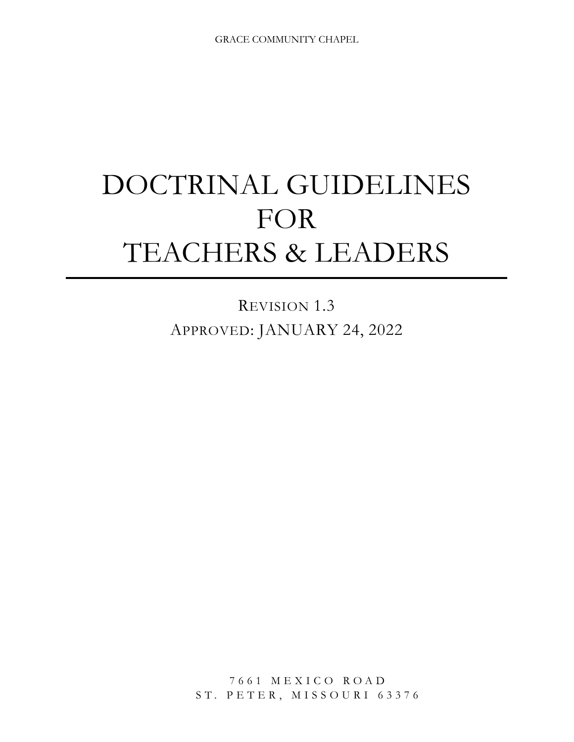# DOCTRINAL GUIDELINES FOR TEACHERS & LEADERS

REVISION 1.3 APPROVED: JANUARY 24, 2022

> 7661 MEXICO ROAD ST. PETER, MISSOURI 63376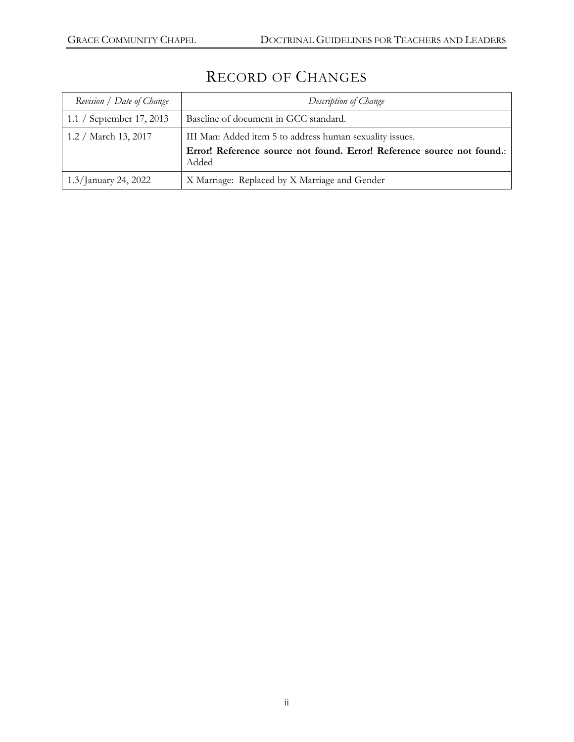| Revision / Date of Change | Description of Change                                                                                                              |
|---------------------------|------------------------------------------------------------------------------------------------------------------------------------|
| 1.1 / September 17, 2013  | Baseline of document in GCC standard.                                                                                              |
| 1.2 / March 13, 2017      | III Man: Added item 5 to address human sexuality issues.<br>Error! Reference source not found. Error! Reference source not found.: |
|                           | Added                                                                                                                              |
| 1.3/January 24, 2022      | X Marriage: Replaced by X Marriage and Gender                                                                                      |

# RECORD OF CHANGES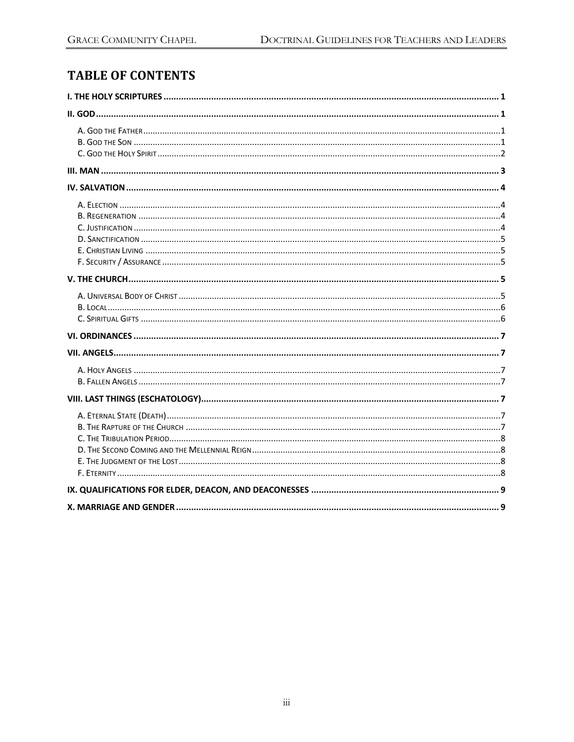# **TABLE OF CONTENTS**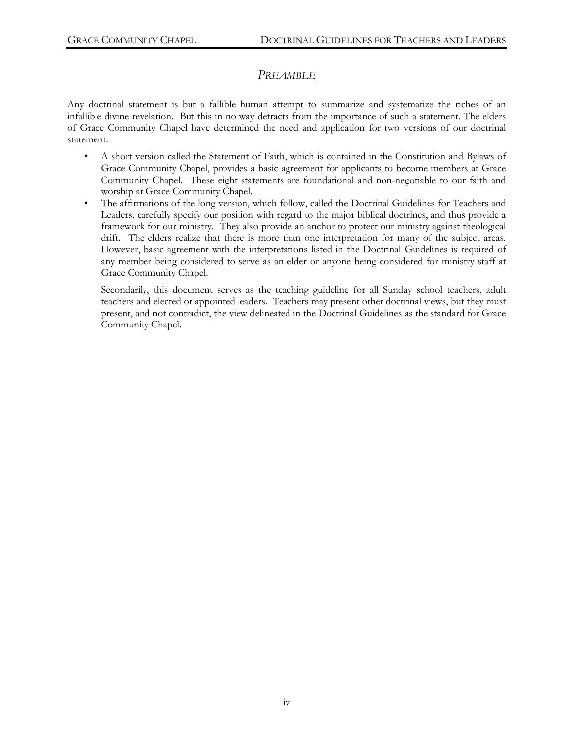# *PREAMBLE*

Any doctrinal statement is but a fallible human attempt to summarize and systematize the riches of an infallible divine revelation. But this in no way detracts from the importance of such a statement. The elders of Grace Community Chapel have determined the need and application for two versions of our doctrinal statement:

- A short version called the Statement of Faith, which is contained in the Constitution and Bylaws of Grace Community Chapel, provides a basic agreement for applicants to become members at Grace Community Chapel. These eight statements are foundational and non-negotiable to our faith and worship at Grace Community Chapel.
- The affirmations of the long version, which follow, called the Doctrinal Guidelines for Teachers and Leaders, carefully specify our position with regard to the major biblical doctrines, and thus provide a framework for our ministry. They also provide an anchor to protect our ministry against theological drift. The elders realize that there is more than one interpretation for many of the subject areas. However, basic agreement with the interpretations listed in the Doctrinal Guidelines is required of any member being considered to serve as an elder or anyone being considered for ministry staff at Grace Community Chapel.

Secondarily, this document serves as the teaching guideline for all Sunday school teachers, adult teachers and elected or appointed leaders. Teachers may present other doctrinal views, but they must present, and not contradict, the view delineated in the Doctrinal Guidelines as the standard for Grace Community Chapel.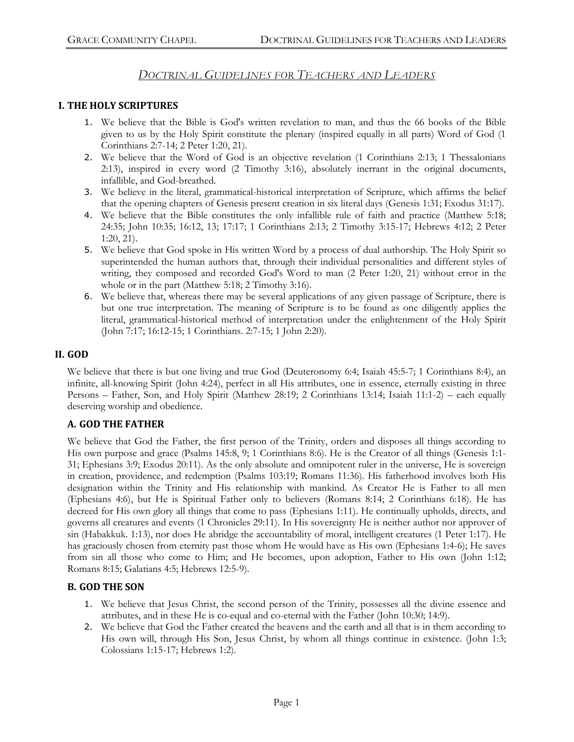# *DOCTRINAL GUIDELINES FOR TEACHERS AND LEADERS*

#### **I. THE HOLY SCRIPTURES**

- 1. We believe that the Bible is God's written revelation to man, and thus the 66 books of the Bible given to us by the Holy Spirit constitute the plenary (inspired equally in all parts) Word of God (1 Corinthians 2:7-14; 2 Peter 1:20, 21).
- 2. We believe that the Word of God is an objective revelation (1 Corinthians 2:13; 1 Thessalonians 2:13), inspired in every word (2 Timothy 3:16), absolutely inerrant in the original documents, infallible, and God-breathed.
- 3. We believe in the literal, grammatical-historical interpretation of Scripture, which affirms the belief that the opening chapters of Genesis present creation in six literal days (Genesis 1:31; Exodus 31:17).
- 4. We believe that the Bible constitutes the only infallible rule of faith and practice (Matthew 5:18; 24:35; John 10:35; 16:12, 13; 17:17; 1 Corinthians 2:13; 2 Timothy 3:15-17; Hebrews 4:12; 2 Peter 1:20, 21).
- 5. We believe that God spoke in His written Word by a process of dual authorship. The Holy Spirit so superintended the human authors that, through their individual personalities and different styles of writing, they composed and recorded God's Word to man (2 Peter 1:20, 21) without error in the whole or in the part (Matthew 5:18; 2 Timothy 3:16).
- 6. We believe that, whereas there may be several applications of any given passage of Scripture, there is but one true interpretation. The meaning of Scripture is to be found as one diligently applies the literal, grammatical-historical method of interpretation under the enlightenment of the Holy Spirit (John 7:17; 16:12-15; 1 Corinthians. 2:7-15; 1 John 2:20).

#### **II. GOD**

We believe that there is but one living and true God (Deuteronomy 6:4; Isaiah 45:5-7; 1 Corinthians 8:4), an infinite, all-knowing Spirit (John 4:24), perfect in all His attributes, one in essence, eternally existing in three Persons – Father, Son, and Holy Spirit (Matthew 28:19; 2 Corinthians 13:14; Isaiah 11:1-2) – each equally deserving worship and obedience.

# **A. GOD THE FATHER**

We believe that God the Father, the first person of the Trinity, orders and disposes all things according to His own purpose and grace (Psalms 145:8, 9; 1 Corinthians 8:6). He is the Creator of all things (Genesis 1:1- 31; Ephesians 3:9; Exodus 20:11). As the only absolute and omnipotent ruler in the universe, He is sovereign in creation, providence, and redemption (Psalms 103:19; Romans 11:36). His fatherhood involves both His designation within the Trinity and His relationship with mankind. As Creator He is Father to all men (Ephesians 4:6), but He is Spiritual Father only to believers (Romans 8:14; 2 Corinthians 6:18). He has decreed for His own glory all things that come to pass (Ephesians 1:11). He continually upholds, directs, and governs all creatures and events (1 Chronicles 29:11). In His sovereignty He is neither author nor approver of sin (Habakkuk. 1:13), nor does He abridge the accountability of moral, intelligent creatures (1 Peter 1:17). He has graciously chosen from eternity past those whom He would have as His own (Ephesians 1:4-6); He saves from sin all those who come to Him; and He becomes, upon adoption, Father to His own (John 1:12; Romans 8:15; Galatians 4:5; Hebrews 12:5-9).

#### **B. GOD THE SON**

- 1. We believe that Jesus Christ, the second person of the Trinity, possesses all the divine essence and attributes, and in these He is co-equal and co-eternal with the Father (John 10:30; 14:9).
- 2. We believe that God the Father created the heavens and the earth and all that is in them according to His own will, through His Son, Jesus Christ, by whom all things continue in existence. (John 1:3; Colossians 1:15-17; Hebrews 1:2).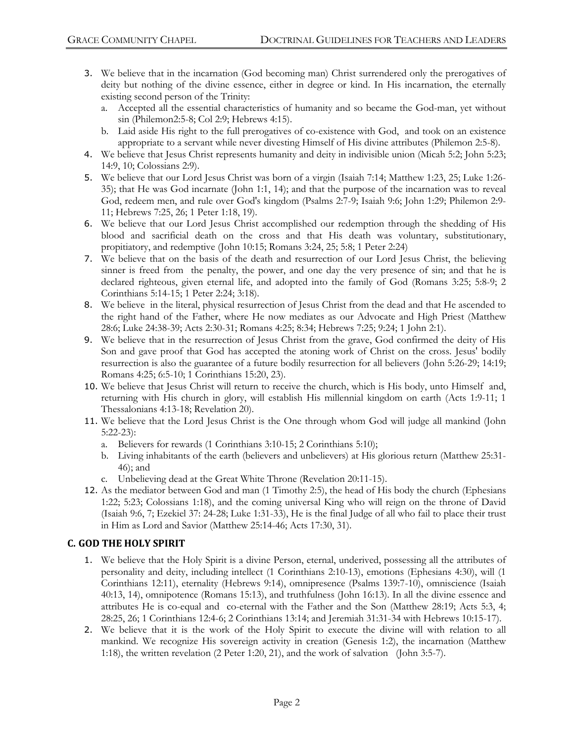- 3. We believe that in the incarnation (God becoming man) Christ surrendered only the prerogatives of deity but nothing of the divine essence, either in degree or kind. In His incarnation, the eternally existing second person of the Trinity:
	- a. Accepted all the essential characteristics of humanity and so became the God-man, yet without sin (Philemon2:5-8; Col 2:9; Hebrews 4:15).
	- b. Laid aside His right to the full prerogatives of co-existence with God, and took on an existence appropriate to a servant while never divesting Himself of His divine attributes (Philemon 2:5-8).
- 4. We believe that Jesus Christ represents humanity and deity in indivisible union (Micah 5:2; John 5:23; 14:9, 10; Colossians 2:9).
- 5. We believe that our Lord Jesus Christ was born of a virgin (Isaiah 7:14; Matthew 1:23, 25; Luke 1:26- 35); that He was God incarnate (John 1:1, 14); and that the purpose of the incarnation was to reveal God, redeem men, and rule over God's kingdom (Psalms 2:7-9; Isaiah 9:6; John 1:29; Philemon 2:9- 11; Hebrews 7:25, 26; 1 Peter 1:18, 19).
- 6. We believe that our Lord Jesus Christ accomplished our redemption through the shedding of His blood and sacrificial death on the cross and that His death was voluntary, substitutionary, propitiatory, and redemptive (John 10:15; Romans 3:24, 25; 5:8; 1 Peter 2:24)
- 7. We believe that on the basis of the death and resurrection of our Lord Jesus Christ, the believing sinner is freed from the penalty, the power, and one day the very presence of sin; and that he is declared righteous, given eternal life, and adopted into the family of God (Romans 3:25; 5:8-9; 2 Corinthians 5:14-15; 1 Peter 2:24; 3:18).
- 8. We believe in the literal, physical resurrection of Jesus Christ from the dead and that He ascended to the right hand of the Father, where He now mediates as our Advocate and High Priest (Matthew 28:6; Luke 24:38-39; Acts 2:30-31; Romans 4:25; 8:34; Hebrews 7:25; 9:24; 1 John 2:1).
- 9. We believe that in the resurrection of Jesus Christ from the grave, God confirmed the deity of His Son and gave proof that God has accepted the atoning work of Christ on the cross. Jesus' bodily resurrection is also the guarantee of a future bodily resurrection for all believers (John 5:26-29; 14:19; Romans 4:25; 6:5-10; 1 Corinthians 15:20, 23).
- 10. We believe that Jesus Christ will return to receive the church, which is His body, unto Himself and, returning with His church in glory, will establish His millennial kingdom on earth (Acts 1:9-11; 1 Thessalonians 4:13-18; Revelation 20).
- 11. We believe that the Lord Jesus Christ is the One through whom God will judge all mankind (John 5:22-23):
	- a. Believers for rewards (1 Corinthians 3:10-15; 2 Corinthians 5:10);
	- b. Living inhabitants of the earth (believers and unbelievers) at His glorious return (Matthew 25:31- 46); and
	- c. Unbelieving dead at the Great White Throne (Revelation 20:11-15).
- 12. As the mediator between God and man (1 Timothy 2:5), the head of His body the church (Ephesians 1:22; 5:23; Colossians 1:18), and the coming universal King who will reign on the throne of David (Isaiah 9:6, 7; Ezekiel 37: 24-28; Luke 1:31-33), He is the final Judge of all who fail to place their trust in Him as Lord and Savior (Matthew 25:14-46; Acts 17:30, 31).

# **C. GOD THE HOLY SPIRIT**

- 1. We believe that the Holy Spirit is a divine Person, eternal, underived, possessing all the attributes of personality and deity, including intellect (1 Corinthians 2:10-13), emotions (Ephesians 4:30), will (1 Corinthians 12:11), eternality (Hebrews 9:14), omnipresence (Psalms 139:7-10), omniscience (Isaiah 40:13, 14), omnipotence (Romans 15:13), and truthfulness (John 16:13). In all the divine essence and attributes He is co-equal and co-eternal with the Father and the Son (Matthew 28:19; Acts 5:3, 4; 28:25, 26; 1 Corinthians 12:4-6; 2 Corinthians 13:14; and Jeremiah 31:31-34 with Hebrews 10:15-17).
- 2. We believe that it is the work of the Holy Spirit to execute the divine will with relation to all mankind. We recognize His sovereign activity in creation (Genesis 1:2), the incarnation (Matthew 1:18), the written revelation (2 Peter 1:20, 21), and the work of salvation (John 3:5-7).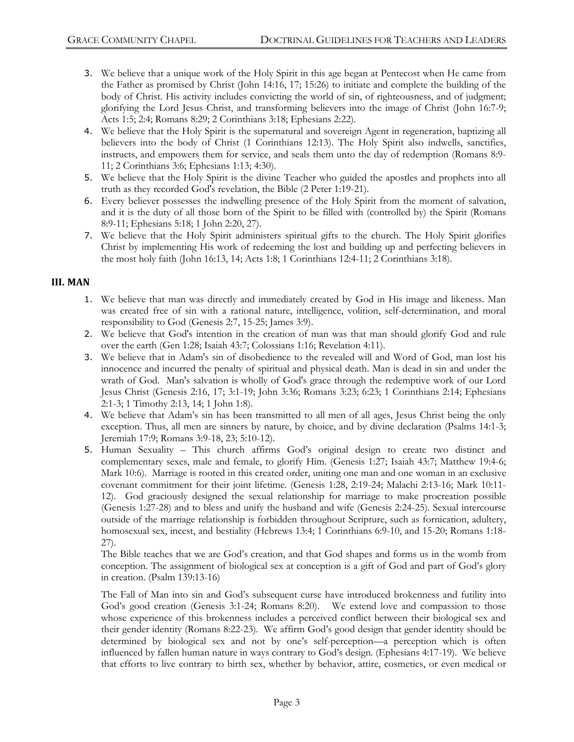- 3. We believe that a unique work of the Holy Spirit in this age began at Pentecost when He came from the Father as promised by Christ (John 14:16, 17; 15:26) to initiate and complete the building of the body of Christ. His activity includes convicting the world of sin, of righteousness, and of judgment; glorifying the Lord Jesus Christ, and transforming believers into the image of Christ (John 16:7-9; Acts 1:5; 2:4; Romans 8:29; 2 Corinthians 3:18; Ephesians 2:22).
- 4. We believe that the Holy Spirit is the supernatural and sovereign Agent in regeneration, baptizing all believers into the body of Christ (1 Corinthians 12:13). The Holy Spirit also indwells, sanctifies, instructs, and empowers them for service, and seals them unto the day of redemption (Romans 8:9- 11; 2 Corinthians 3:6; Ephesians 1:13; 4:30).
- 5. We believe that the Holy Spirit is the divine Teacher who guided the apostles and prophets into all truth as they recorded God's revelation, the Bible (2 Peter 1:19-21).
- 6. Every believer possesses the indwelling presence of the Holy Spirit from the moment of salvation, and it is the duty of all those born of the Spirit to be filled with (controlled by) the Spirit (Romans 8:9-11; Ephesians 5:18; 1 John 2:20, 27).
- 7. We believe that the Holy Spirit administers spiritual gifts to the church. The Holy Spirit glorifies Christ by implementing His work of redeeming the lost and building up and perfecting believers in the most holy faith (John 16:13, 14; Acts 1:8; 1 Corinthians 12:4-11; 2 Corinthians 3:18).

#### **III. MAN**

- 1. We believe that man was directly and immediately created by God in His image and likeness. Man was created free of sin with a rational nature, intelligence, volition, self-determination, and moral responsibility to God (Genesis 2:7, 15-25; James 3:9).
- 2. We believe that God's intention in the creation of man was that man should glorify God and rule over the earth (Gen 1:28; Isaiah 43:7; Colossians 1:16; Revelation 4:11).
- 3. We believe that in Adam's sin of disobedience to the revealed will and Word of God, man lost his innocence and incurred the penalty of spiritual and physical death. Man is dead in sin and under the wrath of God. Man's salvation is wholly of God's grace through the redemptive work of our Lord Jesus Christ (Genesis 2:16, 17; 3:1-19; John 3:36; Romans 3:23; 6:23; 1 Corinthians 2:14; Ephesians 2:1-3; 1 Timothy 2:13, 14; 1 John 1:8).
- 4. We believe that Adam's sin has been transmitted to all men of all ages, Jesus Christ being the only exception. Thus, all men are sinners by nature, by choice, and by divine declaration (Psalms 14:1-3; Jeremiah 17:9; Romans 3:9-18, 23; 5:10-12).
- 5. Human Sexuality This church affirms God's original design to create two distinct and complementary sexes, male and female, to glorify Him. (Genesis 1:27; Isaiah 43:7; Matthew 19:4-6; Mark 10:6). Marriage is rooted in this created order, uniting one man and one woman in an exclusive covenant commitment for their joint lifetime. (Genesis 1:28, 2:19-24; Malachi 2:13-16; Mark 10:11- 12). God graciously designed the sexual relationship for marriage to make procreation possible (Genesis 1:27-28) and to bless and unify the husband and wife (Genesis 2:24-25). Sexual intercourse outside of the marriage relationship is forbidden throughout Scripture, such as fornication, adultery, homosexual sex, incest, and bestiality (Hebrews 13:4; 1 Corinthians 6:9-10, and 15-20; Romans 1:18- 27).

The Bible teaches that we are God's creation, and that God shapes and forms us in the womb from conception. The assignment of biological sex at conception is a gift of God and part of God's glory in creation. (Psalm 139:13-16)

The Fall of Man into sin and God's subsequent curse have introduced brokenness and futility into God's good creation (Genesis 3:1-24; Romans 8:20). We extend love and compassion to those whose experience of this brokenness includes a perceived conflict between their biological sex and their gender identity (Romans 8:22-23). We affirm God's good design that gender identity should be determined by biological sex and not by one's self-perception—a perception which is often influenced by fallen human nature in ways contrary to God's design. (Ephesians 4:17-19). We believe that efforts to live contrary to birth sex, whether by behavior, attire, cosmetics, or even medical or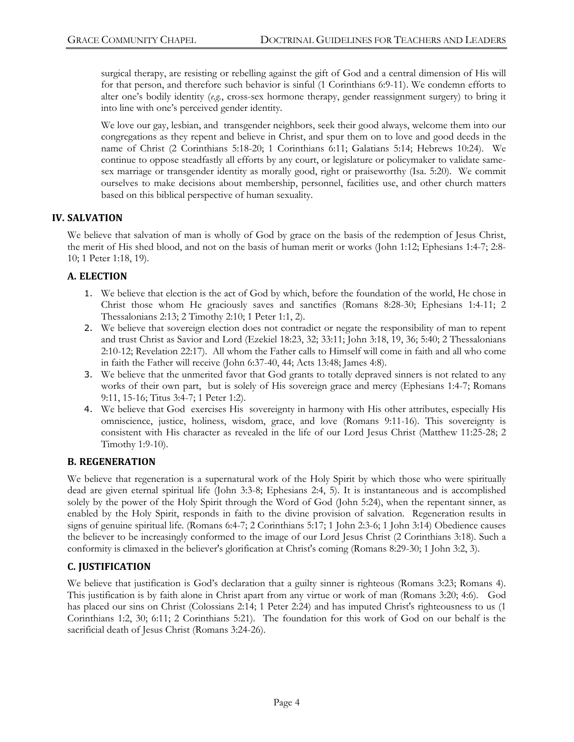surgical therapy, are resisting or rebelling against the gift of God and a central dimension of His will for that person, and therefore such behavior is sinful (1 Corinthians 6:9-11). We condemn efforts to alter one's bodily identity (*e.g.*, cross-sex hormone therapy, gender reassignment surgery) to bring it into line with one's perceived gender identity.

We love our gay, lesbian, and transgender neighbors, seek their good always, welcome them into our congregations as they repent and believe in Christ, and spur them on to love and good deeds in the name of Christ (2 Corinthians 5:18-20; 1 Corinthians 6:11; Galatians 5:14; Hebrews 10:24). We continue to oppose steadfastly all efforts by any court, or legislature or policymaker to validate samesex marriage or transgender identity as morally good, right or praiseworthy (Isa. 5:20). We commit ourselves to make decisions about membership, personnel, facilities use, and other church matters based on this biblical perspective of human sexuality.

#### **IV. SALVATION**

We believe that salvation of man is wholly of God by grace on the basis of the redemption of Jesus Christ, the merit of His shed blood, and not on the basis of human merit or works (John 1:12; Ephesians 1:4-7; 2:8- 10; 1 Peter 1:18, 19).

#### **A. ELECTION**

- 1. We believe that election is the act of God by which, before the foundation of the world, He chose in Christ those whom He graciously saves and sanctifies (Romans 8:28-30; Ephesians 1:4-11; 2 Thessalonians 2:13; 2 Timothy 2:10; 1 Peter 1:1, 2).
- 2. We believe that sovereign election does not contradict or negate the responsibility of man to repent and trust Christ as Savior and Lord (Ezekiel 18:23, 32; 33:11; John 3:18, 19, 36; 5:40; 2 Thessalonians 2:10-12; Revelation 22:17). All whom the Father calls to Himself will come in faith and all who come in faith the Father will receive (John 6:37-40, 44; Acts 13:48; James 4:8).
- 3. We believe that the unmerited favor that God grants to totally depraved sinners is not related to any works of their own part, but is solely of His sovereign grace and mercy (Ephesians 1:4-7; Romans 9:11, 15-16; Titus 3:4-7; 1 Peter 1:2).
- 4. We believe that God exercises His sovereignty in harmony with His other attributes, especially His omniscience, justice, holiness, wisdom, grace, and love (Romans 9:11-16). This sovereignty is consistent with His character as revealed in the life of our Lord Jesus Christ (Matthew 11:25-28; 2 Timothy 1:9-10).

#### **B. REGENERATION**

We believe that regeneration is a supernatural work of the Holy Spirit by which those who were spiritually dead are given eternal spiritual life (John 3:3-8; Ephesians 2:4, 5). It is instantaneous and is accomplished solely by the power of the Holy Spirit through the Word of God (John 5:24), when the repentant sinner, as enabled by the Holy Spirit, responds in faith to the divine provision of salvation. Regeneration results in signs of genuine spiritual life. (Romans 6:4-7; 2 Corinthians 5:17; 1 John 2:3-6; 1 John 3:14) Obedience causes the believer to be increasingly conformed to the image of our Lord Jesus Christ (2 Corinthians 3:18). Such a conformity is climaxed in the believer's glorification at Christ's coming (Romans 8:29-30; 1 John 3:2, 3).

# **C. JUSTIFICATION**

We believe that justification is God's declaration that a guilty sinner is righteous (Romans 3:23; Romans 4). This justification is by faith alone in Christ apart from any virtue or work of man (Romans 3:20; 4:6). God has placed our sins on Christ (Colossians 2:14; 1 Peter 2:24) and has imputed Christ's righteousness to us (1 Corinthians 1:2, 30; 6:11; 2 Corinthians 5:21). The foundation for this work of God on our behalf is the sacrificial death of Jesus Christ (Romans 3:24-26).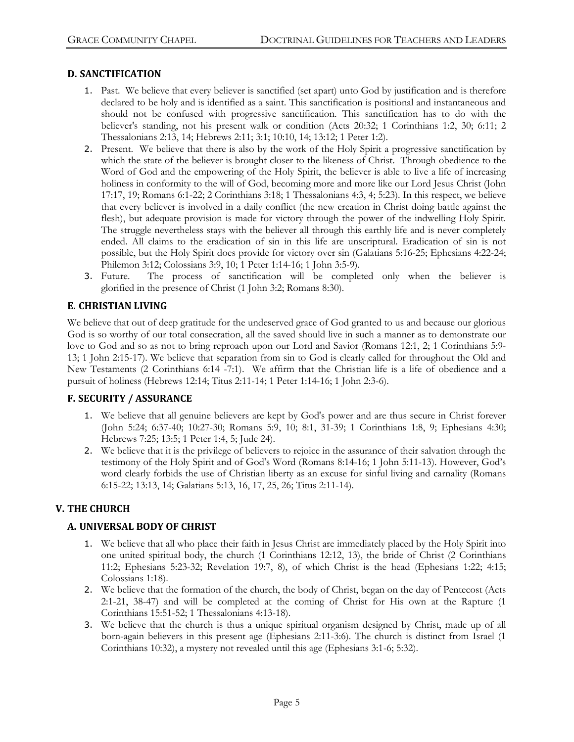#### **D. SANCTIFICATION**

- 1. Past. We believe that every believer is sanctified (set apart) unto God by justification and is therefore declared to be holy and is identified as a saint. This sanctification is positional and instantaneous and should not be confused with progressive sanctification. This sanctification has to do with the believer's standing, not his present walk or condition (Acts 20:32; 1 Corinthians 1:2, 30; 6:11; 2 Thessalonians 2:13, 14; Hebrews 2:11; 3:1; 10:10, 14; 13:12; 1 Peter 1:2).
- 2. Present. We believe that there is also by the work of the Holy Spirit a progressive sanctification by which the state of the believer is brought closer to the likeness of Christ. Through obedience to the Word of God and the empowering of the Holy Spirit, the believer is able to live a life of increasing holiness in conformity to the will of God, becoming more and more like our Lord Jesus Christ (John 17:17, 19; Romans 6:1-22; 2 Corinthians 3:18; 1 Thessalonians 4:3, 4; 5:23). In this respect, we believe that every believer is involved in a daily conflict (the new creation in Christ doing battle against the flesh), but adequate provision is made for victory through the power of the indwelling Holy Spirit. The struggle nevertheless stays with the believer all through this earthly life and is never completely ended. All claims to the eradication of sin in this life are unscriptural. Eradication of sin is not possible, but the Holy Spirit does provide for victory over sin (Galatians 5:16-25; Ephesians 4:22-24; Philemon 3:12; Colossians 3:9, 10; 1 Peter 1:14-16; 1 John 3:5-9).
- 3. Future. The process of sanctification will be completed only when the believer is glorified in the presence of Christ (1 John 3:2; Romans 8:30).

#### **E. CHRISTIAN LIVING**

We believe that out of deep gratitude for the undeserved grace of God granted to us and because our glorious God is so worthy of our total consecration, all the saved should live in such a manner as to demonstrate our love to God and so as not to bring reproach upon our Lord and Savior (Romans 12:1, 2; 1 Corinthians 5:9- 13; 1 John 2:15-17). We believe that separation from sin to God is clearly called for throughout the Old and New Testaments (2 Corinthians 6:14 -7:1). We affirm that the Christian life is a life of obedience and a pursuit of holiness (Hebrews 12:14; Titus 2:11-14; 1 Peter 1:14-16; 1 John 2:3-6).

#### **F. SECURITY / ASSURANCE**

- 1. We believe that all genuine believers are kept by God's power and are thus secure in Christ forever (John 5:24; 6:37-40; 10:27-30; Romans 5:9, 10; 8:1, 31-39; 1 Corinthians 1:8, 9; Ephesians 4:30; Hebrews 7:25; 13:5; 1 Peter 1:4, 5; Jude 24).
- 2. We believe that it is the privilege of believers to rejoice in the assurance of their salvation through the testimony of the Holy Spirit and of God's Word (Romans 8:14-16; 1 John 5:11-13). However, God's word clearly forbids the use of Christian liberty as an excuse for sinful living and carnality (Romans 6:15-22; 13:13, 14; Galatians 5:13, 16, 17, 25, 26; Titus 2:11-14).

# **V. THE CHURCH**

#### **A. UNIVERSAL BODY OF CHRIST**

- 1. We believe that all who place their faith in Jesus Christ are immediately placed by the Holy Spirit into one united spiritual body, the church (1 Corinthians 12:12, 13), the bride of Christ (2 Corinthians 11:2; Ephesians 5:23-32; Revelation 19:7, 8), of which Christ is the head (Ephesians 1:22; 4:15; Colossians 1:18).
- 2. We believe that the formation of the church, the body of Christ, began on the day of Pentecost (Acts 2:1-21, 38-47) and will be completed at the coming of Christ for His own at the Rapture (1 Corinthians 15:51-52; 1 Thessalonians 4:13-18).
- 3. We believe that the church is thus a unique spiritual organism designed by Christ, made up of all born-again believers in this present age (Ephesians 2:11-3:6). The church is distinct from Israel (1 Corinthians 10:32), a mystery not revealed until this age (Ephesians 3:1-6; 5:32).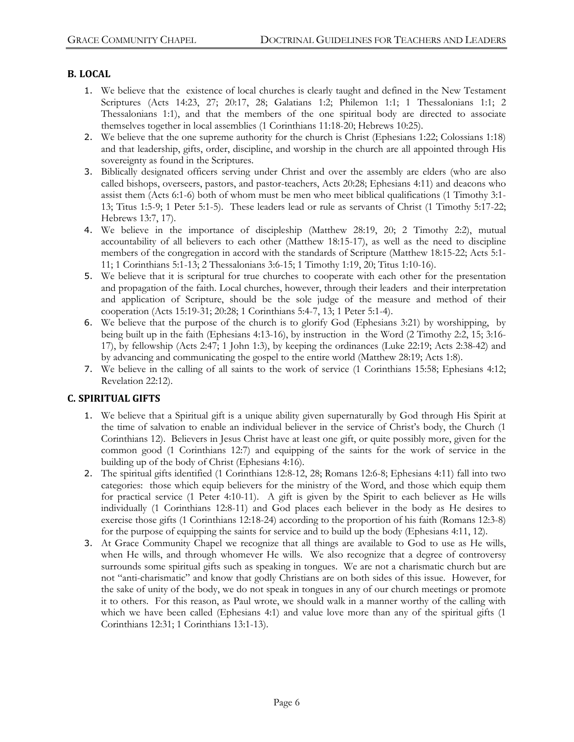#### **B. LOCAL**

- 1. We believe that the existence of local churches is clearly taught and defined in the New Testament Scriptures (Acts 14:23, 27; 20:17, 28; Galatians 1:2; Philemon 1:1; 1 Thessalonians 1:1; 2 Thessalonians 1:1), and that the members of the one spiritual body are directed to associate themselves together in local assemblies (1 Corinthians 11:18-20; Hebrews 10:25).
- 2. We believe that the one supreme authority for the church is Christ (Ephesians 1:22; Colossians 1:18) and that leadership, gifts, order, discipline, and worship in the church are all appointed through His sovereignty as found in the Scriptures.
- 3. Biblically designated officers serving under Christ and over the assembly are elders (who are also called bishops, overseers, pastors, and pastor-teachers, Acts 20:28; Ephesians 4:11) and deacons who assist them (Acts 6:1-6) both of whom must be men who meet biblical qualifications (1 Timothy 3:1- 13; Titus 1:5-9; 1 Peter 5:1-5). These leaders lead or rule as servants of Christ (1 Timothy 5:17-22; Hebrews 13:7, 17).
- 4. We believe in the importance of discipleship (Matthew 28:19, 20; 2 Timothy 2:2), mutual accountability of all believers to each other (Matthew 18:15-17), as well as the need to discipline members of the congregation in accord with the standards of Scripture (Matthew 18:15-22; Acts 5:1- 11; 1 Corinthians 5:1-13; 2 Thessalonians 3:6-15; 1 Timothy 1:19, 20; Titus 1:10-16).
- 5. We believe that it is scriptural for true churches to cooperate with each other for the presentation and propagation of the faith. Local churches, however, through their leaders and their interpretation and application of Scripture, should be the sole judge of the measure and method of their cooperation (Acts 15:19-31; 20:28; 1 Corinthians 5:4-7, 13; 1 Peter 5:1-4).
- 6. We believe that the purpose of the church is to glorify God (Ephesians 3:21) by worshipping, by being built up in the faith (Ephesians 4:13-16), by instruction in the Word (2 Timothy 2:2, 15; 3:16- 17), by fellowship (Acts 2:47; 1 John 1:3), by keeping the ordinances (Luke 22:19; Acts 2:38-42) and by advancing and communicating the gospel to the entire world (Matthew 28:19; Acts 1:8).
- 7. We believe in the calling of all saints to the work of service (1 Corinthians 15:58; Ephesians 4:12; Revelation 22:12).

# **C. SPIRITUAL GIFTS**

- 1. We believe that a Spiritual gift is a unique ability given supernaturally by God through His Spirit at the time of salvation to enable an individual believer in the service of Christ's body, the Church (1 Corinthians 12). Believers in Jesus Christ have at least one gift, or quite possibly more, given for the common good (1 Corinthians 12:7) and equipping of the saints for the work of service in the building up of the body of Christ (Ephesians 4:16).
- 2. The spiritual gifts identified (1 Corinthians 12:8-12, 28; Romans 12:6-8; Ephesians 4:11) fall into two categories: those which equip believers for the ministry of the Word, and those which equip them for practical service (1 Peter 4:10-11). A gift is given by the Spirit to each believer as He wills individually (1 Corinthians 12:8-11) and God places each believer in the body as He desires to exercise those gifts (1 Corinthians 12:18-24) according to the proportion of his faith (Romans 12:3-8) for the purpose of equipping the saints for service and to build up the body (Ephesians 4:11, 12).
- 3. At Grace Community Chapel we recognize that all things are available to God to use as He wills, when He wills, and through whomever He wills. We also recognize that a degree of controversy surrounds some spiritual gifts such as speaking in tongues. We are not a charismatic church but are not "anti-charismatic" and know that godly Christians are on both sides of this issue. However, for the sake of unity of the body, we do not speak in tongues in any of our church meetings or promote it to others. For this reason, as Paul wrote, we should walk in a manner worthy of the calling with which we have been called (Ephesians 4:1) and value love more than any of the spiritual gifts (1 Corinthians 12:31; 1 Corinthians 13:1-13).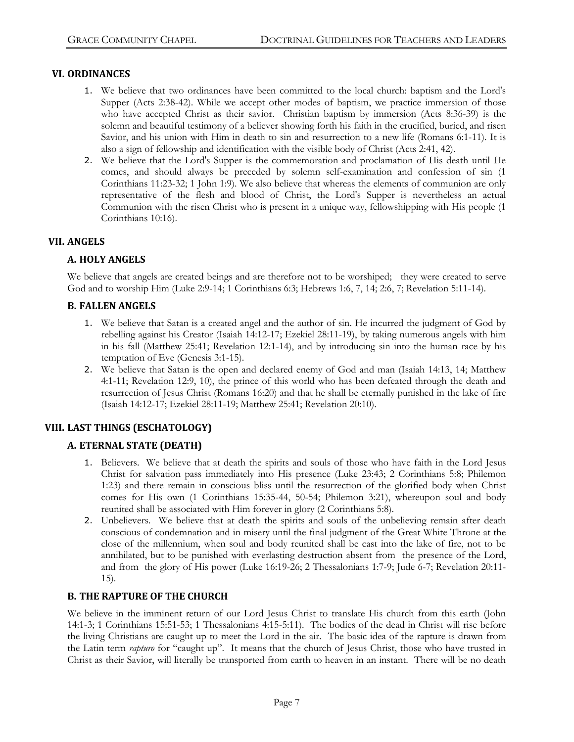#### **VI. ORDINANCES**

- 1. We believe that two ordinances have been committed to the local church: baptism and the Lord's Supper (Acts 2:38-42). While we accept other modes of baptism, we practice immersion of those who have accepted Christ as their savior. Christian baptism by immersion (Acts 8:36-39) is the solemn and beautiful testimony of a believer showing forth his faith in the crucified, buried, and risen Savior, and his union with Him in death to sin and resurrection to a new life (Romans 6:1-11). It is also a sign of fellowship and identification with the visible body of Christ (Acts 2:41, 42).
- 2. We believe that the Lord's Supper is the commemoration and proclamation of His death until He comes, and should always be preceded by solemn self-examination and confession of sin (1 Corinthians 11:23-32; 1 John 1:9). We also believe that whereas the elements of communion are only representative of the flesh and blood of Christ, the Lord's Supper is nevertheless an actual Communion with the risen Christ who is present in a unique way, fellowshipping with His people (1 Corinthians 10:16).

#### **VII. ANGELS**

#### **A. HOLY ANGELS**

We believe that angels are created beings and are therefore not to be worshiped; they were created to serve God and to worship Him (Luke 2:9-14; 1 Corinthians 6:3; Hebrews 1:6, 7, 14; 2:6, 7; Revelation 5:11-14).

#### **B. FALLEN ANGELS**

- 1. We believe that Satan is a created angel and the author of sin. He incurred the judgment of God by rebelling against his Creator (Isaiah 14:12-17; Ezekiel 28:11-19), by taking numerous angels with him in his fall (Matthew 25:41; Revelation 12:1-14), and by introducing sin into the human race by his temptation of Eve (Genesis 3:1-15).
- 2. We believe that Satan is the open and declared enemy of God and man (Isaiah 14:13, 14; Matthew 4:1-11; Revelation 12:9, 10), the prince of this world who has been defeated through the death and resurrection of Jesus Christ (Romans 16:20) and that he shall be eternally punished in the lake of fire (Isaiah 14:12-17; Ezekiel 28:11-19; Matthew 25:41; Revelation 20:10).

# **VIII. LAST THINGS (ESCHATOLOGY)**

# **A. ETERNAL STATE (DEATH)**

- 1. Believers. We believe that at death the spirits and souls of those who have faith in the Lord Jesus Christ for salvation pass immediately into His presence (Luke 23:43; 2 Corinthians 5:8; Philemon 1:23) and there remain in conscious bliss until the resurrection of the glorified body when Christ comes for His own (1 Corinthians 15:35-44, 50-54; Philemon 3:21), whereupon soul and body reunited shall be associated with Him forever in glory (2 Corinthians 5:8).
- 2. Unbelievers. We believe that at death the spirits and souls of the unbelieving remain after death conscious of condemnation and in misery until the final judgment of the Great White Throne at the close of the millennium, when soul and body reunited shall be cast into the lake of fire, not to be annihilated, but to be punished with everlasting destruction absent from the presence of the Lord, and from the glory of His power (Luke 16:19-26; 2 Thessalonians 1:7-9; Jude 6-7; Revelation 20:11- 15).

#### **B. THE RAPTURE OF THE CHURCH**

We believe in the imminent return of our Lord Jesus Christ to translate His church from this earth (John 14:1-3; 1 Corinthians 15:51-53; 1 Thessalonians 4:15-5:11). The bodies of the dead in Christ will rise before the living Christians are caught up to meet the Lord in the air. The basic idea of the rapture is drawn from the Latin term *rapturo* for "caught up". It means that the church of Jesus Christ, those who have trusted in Christ as their Savior, will literally be transported from earth to heaven in an instant. There will be no death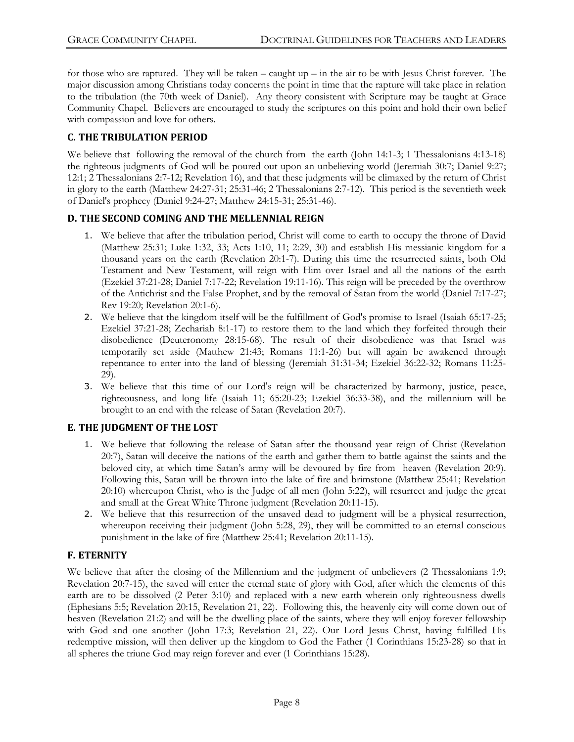for those who are raptured. They will be taken – caught up – in the air to be with Jesus Christ forever. The major discussion among Christians today concerns the point in time that the rapture will take place in relation to the tribulation (the 70th week of Daniel). Any theory consistent with Scripture may be taught at Grace Community Chapel. Believers are encouraged to study the scriptures on this point and hold their own belief with compassion and love for others.

# **C. THE TRIBULATION PERIOD**

We believe that following the removal of the church from the earth (John 14:1-3; 1 Thessalonians 4:13-18) the righteous judgments of God will be poured out upon an unbelieving world (Jeremiah 30:7; Daniel 9:27; 12:1; 2 Thessalonians 2:7-12; Revelation 16), and that these judgments will be climaxed by the return of Christ in glory to the earth (Matthew 24:27-31; 25:31-46; 2 Thessalonians 2:7-12). This period is the seventieth week of Daniel's prophecy (Daniel 9:24-27; Matthew 24:15-31; 25:31-46).

#### **D.** THE SECOND COMING AND THE MELLENNIAL REIGN

- 1. We believe that after the tribulation period, Christ will come to earth to occupy the throne of David (Matthew 25:31; Luke 1:32, 33; Acts 1:10, 11; 2:29, 30) and establish His messianic kingdom for a thousand years on the earth (Revelation 20:1-7). During this time the resurrected saints, both Old Testament and New Testament, will reign with Him over Israel and all the nations of the earth (Ezekiel 37:21-28; Daniel 7:17-22; Revelation 19:11-16). This reign will be preceded by the overthrow of the Antichrist and the False Prophet, and by the removal of Satan from the world (Daniel 7:17-27; Rev 19:20; Revelation 20:1-6).
- 2. We believe that the kingdom itself will be the fulfillment of God's promise to Israel (Isaiah 65:17-25; Ezekiel 37:21-28; Zechariah 8:1-17) to restore them to the land which they forfeited through their disobedience (Deuteronomy 28:15-68). The result of their disobedience was that Israel was temporarily set aside (Matthew 21:43; Romans 11:1-26) but will again be awakened through repentance to enter into the land of blessing (Jeremiah 31:31-34; Ezekiel 36:22-32; Romans 11:25- 29).
- 3. We believe that this time of our Lord's reign will be characterized by harmony, justice, peace, righteousness, and long life (Isaiah 11; 65:20-23; Ezekiel 36:33-38), and the millennium will be brought to an end with the release of Satan (Revelation 20:7).

# **E. THE JUDGMENT OF THE LOST**

- 1. We believe that following the release of Satan after the thousand year reign of Christ (Revelation 20:7), Satan will deceive the nations of the earth and gather them to battle against the saints and the beloved city, at which time Satan's army will be devoured by fire from heaven (Revelation 20:9). Following this, Satan will be thrown into the lake of fire and brimstone (Matthew 25:41; Revelation 20:10) whereupon Christ, who is the Judge of all men (John 5:22), will resurrect and judge the great and small at the Great White Throne judgment (Revelation 20:11-15).
- 2. We believe that this resurrection of the unsaved dead to judgment will be a physical resurrection, whereupon receiving their judgment (John 5:28, 29), they will be committed to an eternal conscious punishment in the lake of fire (Matthew 25:41; Revelation 20:11-15).

# **F. ETERNITY**

We believe that after the closing of the Millennium and the judgment of unbelievers (2 Thessalonians 1:9; Revelation 20:7-15), the saved will enter the eternal state of glory with God, after which the elements of this earth are to be dissolved (2 Peter 3:10) and replaced with a new earth wherein only righteousness dwells (Ephesians 5:5; Revelation 20:15, Revelation 21, 22). Following this, the heavenly city will come down out of heaven (Revelation 21:2) and will be the dwelling place of the saints, where they will enjoy forever fellowship with God and one another (John 17:3; Revelation 21, 22). Our Lord Jesus Christ, having fulfilled His redemptive mission, will then deliver up the kingdom to God the Father (1 Corinthians 15:23-28) so that in all spheres the triune God may reign forever and ever (1 Corinthians 15:28).